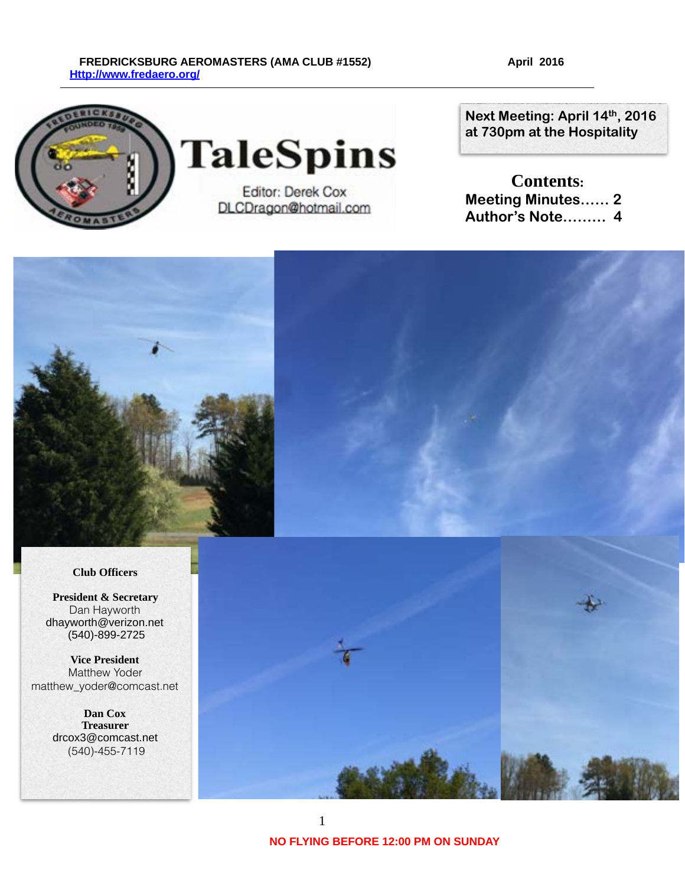#### FREDRICKSBURG AEROMASTERS (AMA CLUB #1552) April 2016  **[Http://www.fredaero.org/](http://www.fredaero.org/)**



**TaleSpins** 

Editor: Derek Cox DLCDragon@hotmail.com

**Next Meeting: April 14th, 2016 at 730pm at the Hospitality** 

**Contents: Meeting Minutes…… 2 Author's Note……… 4** 



#### **Club Officers**

 **President & Secretary** Dan Hayworth dhayworth@verizon.net (540)-899-2725

**Vice President** Matthew Yoder matthew\_yoder@comcast.net

> **Dan Cox Treasurer** drcox3@comcast.net (540)-455-7119

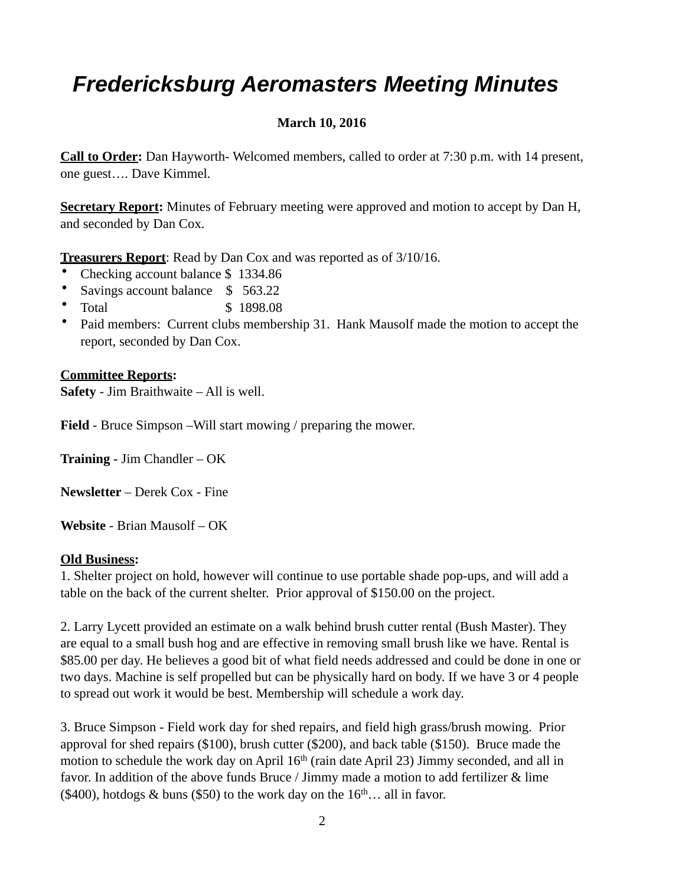# *Fredericksburg Aeromasters Meeting Minutes*

# **March 10, 2016**

**Call to Order:** Dan Hayworth- Welcomed members, called to order at 7:30 p.m. with 14 present, one guest…. Dave Kimmel.

**Secretary Report:** Minutes of February meeting were approved and motion to accept by Dan H, and seconded by Dan Cox.

**Treasurers Report**: Read by Dan Cox and was reported as of 3/10/16.

- Checking account balance \$ 1334.86
- Savings account balance \$ 563.22
- Total \$ 1898.08
- Paid members: Current clubs membership 31. Hank Mausolf made the motion to accept the report, seconded by Dan Cox.

## **Committee Reports:**

**Safety** - Jim Braithwaite – All is well.

**Field** - Bruce Simpson –Will start mowing / preparing the mower.

**Training -** Jim Chandler – OK

**Newsletter** – Derek Cox - Fine

**Website** - Brian Mausolf – OK

### **Old Business:**

1. Shelter project on hold, however will continue to use portable shade pop-ups, and will add a table on the back of the current shelter. Prior approval of \$150.00 on the project.

2. Larry Lycett provided an estimate on a walk behind brush cutter rental (Bush Master). They are equal to a small bush hog and are effective in removing small brush like we have. Rental is \$85.00 per day. He believes a good bit of what field needs addressed and could be done in one or two days. Machine is self propelled but can be physically hard on body. If we have 3 or 4 people to spread out work it would be best. Membership will schedule a work day.

3. Bruce Simpson - Field work day for shed repairs, and field high grass/brush mowing. Prior approval for shed repairs (\$100), brush cutter (\$200), and back table (\$150). Bruce made the motion to schedule the work day on April 16<sup>th</sup> (rain date April 23) Jimmy seconded, and all in favor. In addition of the above funds Bruce / Jimmy made a motion to add fertilizer  $\&$  lime (\$400), hotdogs & buns (\$50) to the work day on the  $16<sup>th</sup>...$  all in favor.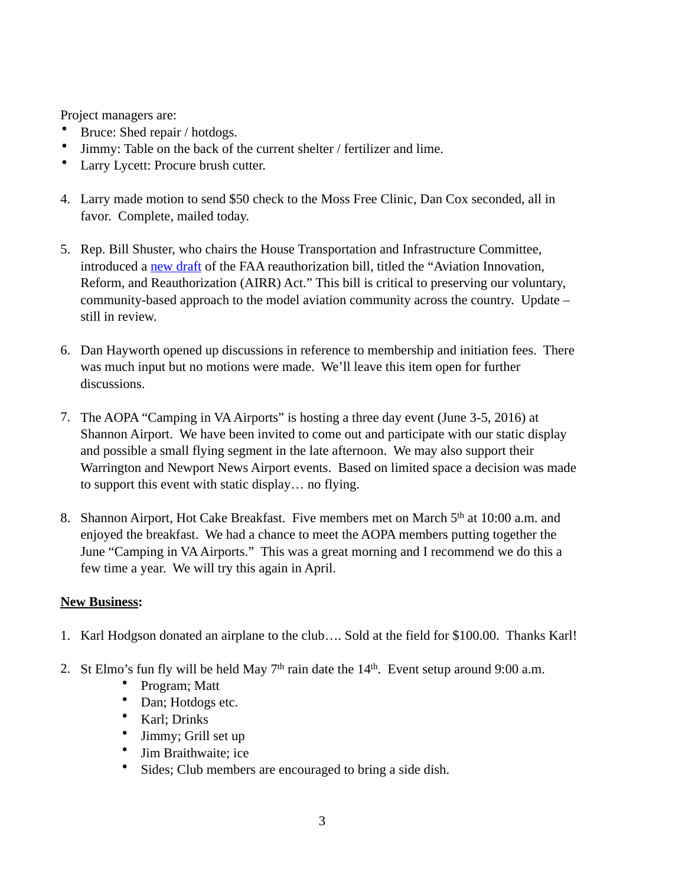Project managers are:

- Bruce: Shed repair / hotdogs.
- Jimmy: Table on the back of the current shelter / fertilizer and lime.
- Larry Lycett: Procure brush cutter.
- 4. Larry made motion to send \$50 check to the Moss Free Clinic, Dan Cox seconded, all in favor. Complete, mailed today.
- 5. Rep. Bill Shuster, who chairs the House Transportation and Infrastructure Committee, introduced a [new draft](http://cl.exct.net/?qs=83fd2ba37621bcd2f4adefe59af86560a0538ed4c877b21e903cb4626602f0b8) of the FAA reauthorization bill, titled the "Aviation Innovation, Reform, and Reauthorization (AIRR) Act." This bill is critical to preserving our voluntary, community-based approach to the model aviation community across the country. Update – still in review.
- 6. Dan Hayworth opened up discussions in reference to membership and initiation fees. There was much input but no motions were made. We'll leave this item open for further discussions.
- 7. The AOPA "Camping in VA Airports" is hosting a three day event (June 3-5, 2016) at Shannon Airport. We have been invited to come out and participate with our static display and possible a small flying segment in the late afternoon. We may also support their Warrington and Newport News Airport events. Based on limited space a decision was made to support this event with static display… no flying.
- 8. Shannon Airport, Hot Cake Breakfast. Five members met on March 5<sup>th</sup> at 10:00 a.m. and enjoyed the breakfast. We had a chance to meet the AOPA members putting together the June "Camping in VA Airports." This was a great morning and I recommend we do this a few time a year. We will try this again in April.

### **New Business:**

- 1. Karl Hodgson donated an airplane to the club…. Sold at the field for \$100.00. Thanks Karl!
- 2. St Elmo's fun fly will be held May  $7<sup>th</sup>$  rain date the  $14<sup>th</sup>$ . Event setup around 9:00 a.m.
	- Program; Matt
	- Dan; Hotdogs etc.
	- Karl; Drinks
	- Jimmy; Grill set up
	- Jim Braithwaite; ice
	- Sides; Club members are encouraged to bring a side dish.